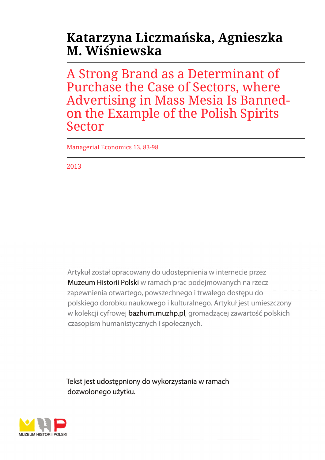# **Katarzyna Liczmańska, Agnieszka M. Wiśniewska**

A Strong Brand as a Determinant of Purchase the Case of Sectors, where Advertising in Mass Mesia Is Bannedon the Example of the Polish Spirits Sector

Managerial Economics 13, 83-98

2013

Artykuł został opracowany do udostępnienia w internecie przez Muzeum Historii Polski w ramach prac podejmowanych na rzecz zapewnienia otwartego, powszechnego i trwałego dostępu do polskiego dorobku naukowego i kulturalnego. Artykuł jest umieszczony w kolekcji cyfrowej bazhum.muzhp.pl, gromadzącej zawartość polskich czasopism humanistycznych i społecznych.

Tekst jest udostępniony do wykorzystania w ramach dozwolonego użytku.

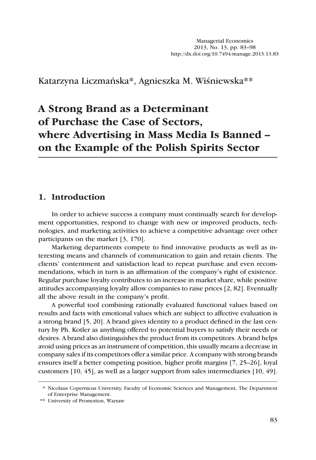Katarzyna Liczmańska\*, Agnieszka M. Wiśniewska\*\*

# **A Strong Brand as a Determinant of Purchase the Case of Sectors, where Advertising in Mass Media Is Banned – on the Example of the Polish Spirits Sector**

### **1. Introduction**

In order to achieve success a company must continually search for development opportunities, respond to change with new or improved products, technologies, and marketing activities to achieve a competitive advantage over other participants on the market [3, 170].

Marketing departments compete to find innovative products as well as interesting means and channels of communication to gain and retain clients. The clients' contentment and satisfaction lead to repeat purchase and even recommendations, which in turn is an affirmation of the company's right of existence. Regular purchase loyalty contributes to an increase in market share, while positive attitudes accompanying loyalty allow companies to raise prices [2, 82]. Eventually all the above result in the company's profit.

A powerful tool combining rationally evaluated functional values based on results and facts with emotional values which are subject to affective evaluation is a strong brand [5, 20]. A brand gives identity to a product defined in the last century by Ph. Kotler as anything offered to potential buyers to satisfy their needs or desires. A brand also distinguishes the product from its competitors. A brand helps avoid using prices as an instrument of competition, this usually means a decrease in company sales if its competitors offer a similar price. A company with strong brands ensures itself a better competing position, higher profit margins [7, 25–26], loyal customers [10, 45], as well as a larger support from sales intermediaries [10, 49].

<sup>\*</sup> Nicolaus Copernicus University, Faculty of Economic Sciences and Management, The Department of Enterprise Management.

<sup>\*\*</sup> University of Promotion, Warsaw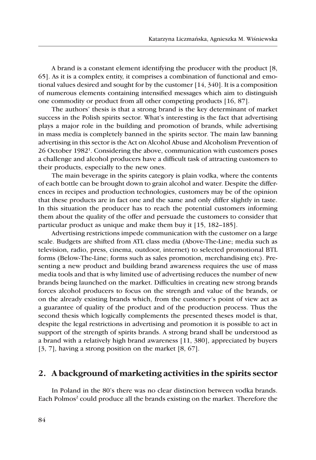A brand is a constant element identifying the producer with the product [8, 65]. As it is a complex entity, it comprises a combination of functional and emotional values desired and sought for by the customer [14, 340]. It is a composition of numerous elements containing intensified messages which aim to distinguish one commodity or product from all other competing products [16, 87].

The authors' thesis is that a strong brand is the key determinant of market success in the Polish spirits sector. What's interesting is the fact that advertising plays a major role in the building and promotion of brands, while advertising in mass media is completely banned in the spirits sector. The main law banning advertising in this sector is the Act on Alcohol Abuse and Alcoholism Prevention of 26 October 19821 . Considering the above, communication with customers poses a challenge and alcohol producers have a difficult task of attracting customers to their products, especially to the new ones.

The main beverage in the spirits category is plain vodka, where the contents of each bottle can be brought down to grain alcohol and water. Despite the differences in recipes and production technologies, customers may be of the opinion that these products are in fact one and the same and only differ slightly in taste. In this situation the producer has to reach the potential customers informing them about the quality of the offer and persuade the customers to consider that particular product as unique and make them buy it [15, 182–185].

Advertising restrictions impede communication with the customer on a large scale. Budgets are shifted from ATL class media (Above-The-Line; media such as television, radio, press, cinema, outdoor, internet) to selected promotional BTL forms (Below-The-Line; forms such as sales promotion, merchandising etc). Presenting a new product and building brand awareness requires the use of mass media tools and that is why limited use of advertising reduces the number of new brands being launched on the market. Difficulties in creating new strong brands forces alcohol producers to focus on the strength and value of the brands, or on the already existing brands which, from the customer's point of view act as a guarantee of quality of the product and of the production process. Thus the second thesis which logically complements the presented theses model is that, despite the legal restrictions in advertising and promotion it is possible to act in support of the strength of spirits brands. A strong brand shall be understood as a brand with a relatively high brand awareness [11, 380], appreciated by buyers [3, 7], having a strong position on the market [8, 67].

#### **2. A background of marketing activities in the spirits sector**

In Poland in the 80's there was no clear distinction between vodka brands. Each Polmos<sup>2</sup> could produce all the brands existing on the market. Therefore the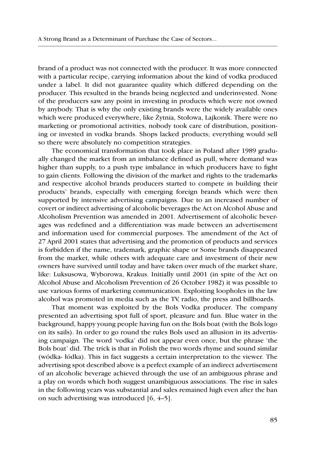brand of a product was not connected with the producer. It was more connected with a particular recipe, carrying information about the kind of vodka produced under a label. It did not guarantee quality which differed depending on the producer. This resulted in the brands being neglected and underinvested. None of the producers saw any point in investing in products which were not owned by anybody. That is why the only existing brands were the widely available ones which were produced everywhere, like Żytnia, Stołowa, Lajkonik. There were no marketing or promotional activities, nobody took care of distribution, positioning or invested in vodka brands. Shops lacked products; everything would sell so there were absolutely no competition strategies.

The economical transformation that took place in Poland after 1989 gradually changed the market from an imbalance defined as pull, where demand was higher than supply, to a push type imbalance in which producers have to fight to gain clients. Following the division of the market and rights to the trademarks and respective alcohol brands producers started to compete in building their products' brands, especially with emerging foreign brands which were then supported by intensive advertising campaigns. Due to an increased number of covert or indirect advertising of alcoholic beverages the Act on Alcohol Abuse and Alcoholism Prevention was amended in 2001. Advertisement of alcoholic beverages was redefined and a differentiation was made between an advertisement and information used for commercial purposes. The amendment of the Act of 27 April 2001 states that advertising and the promotion of products and services is forbidden if the name, trademark, graphic shape or Some brands disappeared from the market, while others with adequate care and investment of their new owners have survived until today and have taken over much of the market share, like: Luksusowa, Wyborowa, Krakus. Initially until 2001 (in spite of the Act on Alcohol Abuse and Alcoholism Prevention of 26 October 1982) it was possible to use various forms of marketing communication. Exploiting loopholes in the law alcohol was promoted in media such as the TV, radio, the press and billboards.

That moment was exploited by the Bols Vodka producer. The company presented an advertising spot full of sport, pleasure and fun. Blue water in the background, happy young people having fun on the Bols boat (with the Bols logo on its sails). In order to go round the rules Bols used an allusion in its advertising campaign. The word 'vodka' did not appear even once, but the phrase 'the Bols boat' did. The trick is that in Polish the two words rhyme and sound similar (wódka- łódka). This in fact suggests a certain interpretation to the viewer. The advertising spot described above is a perfect example of an indirect advertisement of an alcoholic beverage achieved through the use of an ambiguous phrase and a play on words which both suggest unambiguous associations. The rise in sales in the following years was substantial and sales remained high even after the ban on such advertising was introduced [6, 4–5].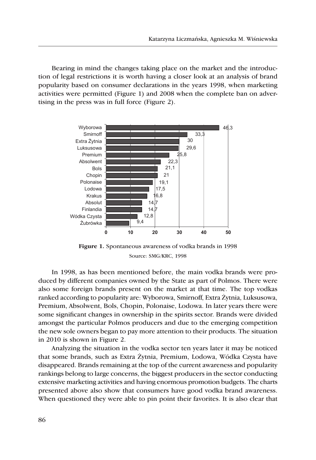Bearing in mind the changes taking place on the market and the introduction of legal restrictions it is worth having a closer look at an analysis of brand popularity based on consumer declarations in the years 1998, when marketing activities were permitted (Figure 1) and 2008 when the complete ban on advertising in the press was in full force (Figure 2).



**Figure 1.** Spontaneous awareness of vodka brands in 1998 Source: SMG/KRC, 1998

In 1998, as has been mentioned before, the main vodka brands were produced by different companies owned by the State as part of Polmos. There were also some foreign brands present on the market at that time. The top vodkas ranked according to popularity are: Wyborowa, Smirnoff, Extra Żytnia, Luksusowa, Premium, Absolwent, Bols, Chopin, Polonaise, Lodowa. In later years there were some significant changes in ownership in the spirits sector. Brands were divided amongst the particular Polmos producers and due to the emerging competition the new sole owners began to pay more attention to their products. The situation in 2010 is shown in Figure 2.

Analyzing the situation in the vodka sector ten years later it may be noticed that some brands, such as Extra Żytnia, Premium, Lodowa, Wódka Czysta have disappeared. Brands remaining at the top of the current awareness and popularity rankings belong to large concerns, the biggest producers in the sector conducting extensive marketing activities and having enormous promotion budgets. The charts presented above also show that consumers have good vodka brand awareness. When questioned they were able to pin point their favorites. It is also clear that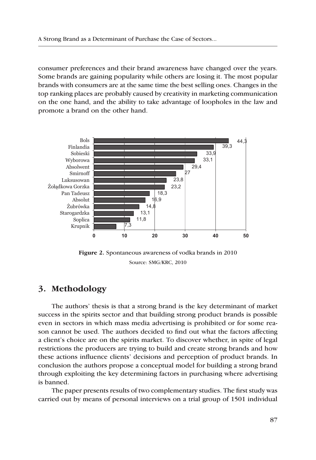consumer preferences and their brand awareness have changed over the years. Some brands are gaining popularity while others are losing it. The most popular brands with consumers are at the same time the best selling ones. Changes in the top ranking places are probably caused by creativity in marketing communication on the one hand, and the ability to take advantage of loopholes in the law and promote a brand on the other hand.



**Figure 2.** Spontaneous awareness of vodka brands in 2010 Source: SMG/KRC, 2010

## **3. Methodology**

The authors' thesis is that a strong brand is the key determinant of market success in the spirits sector and that building strong product brands is possible even in sectors in which mass media advertising is prohibited or for some reason cannot be used. The authors decided to find out what the factors affecting a client's choice are on the spirits market. To discover whether, in spite of legal restrictions the producers are trying to build and create strong brands and how these actions influence clients' decisions and perception of product brands. In conclusion the authors propose a conceptual model for building a strong brand through exploiting the key determining factors in purchasing where advertising is banned.

The paper presents results of two complementary studies. The first study was carried out by means of personal interviews on a trial group of 1501 individual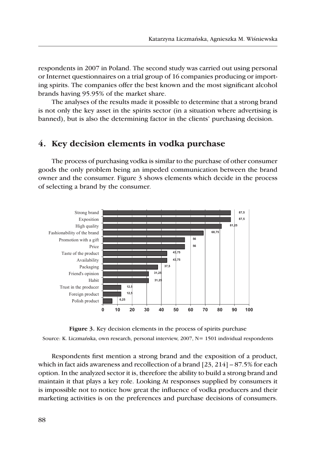respondents in 2007 in Poland. The second study was carried out using personal or Internet questionnaires on a trial group of 16 companies producing or importing spirits. The companies offer the best known and the most significant alcohol brands having 95.95% of the market share.

The analyses of the results made it possible to determine that a strong brand is not only the key asset in the spirits sector (in a situation where advertising is banned), but is also the determining factor in the clients' purchasing decision.

#### **4. Key decision elements in vodka purchase**

The process of purchasing vodka is similar to the purchase of other consumer goods the only problem being an impeded communication between the brand owner and the consumer. Figure 3 shows elements which decide in the process of selecting a brand by the consumer.



**Figure 3.** Key decision elements in the process of spirits purchase Source: K. Liczmańska, own research, personal interview, 2007, N= 1501 individual respondents

Respondents first mention a strong brand and the exposition of a product, which in fact aids awareness and recollection of a brand  $[23, 214]$  – 87.5% for each option. In the analyzed sector it is, therefore the ability to build a strong brand and maintain it that plays a key role. Looking At responses supplied by consumers it is impossible not to notice how great the influence of vodka producers and their marketing activities is on the preferences and purchase decisions of consumers.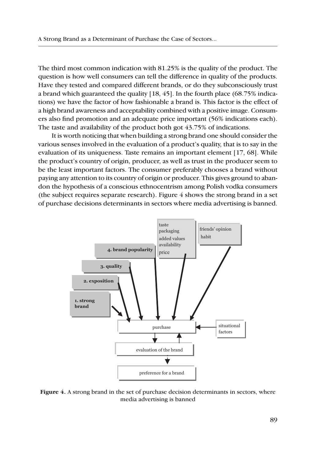The third most common indication with 81.25% is the quality of the product. The question is how well consumers can tell the difference in quality of the products. Have they tested and compared different brands, or do they subconsciously trust a brand which guaranteed the quality [18, 45]. In the fourth place (68.75% indications) we have the factor of how fashionable a brand is. This factor is the effect of a high brand awareness and acceptability combined with a positive image. Consumers also find promotion and an adequate price important (56% indications each). The taste and availability of the product both got 43.75% of indications.

It is worth noticing that when building a strong brand one should consider the various senses involved in the evaluation of a product's quality, that is to say in the evaluation of its uniqueness. Taste remains an important element [17, 68]. While the product's country of origin, producer, as well as trust in the producer seem to be the least important factors. The consumer preferably chooses a brand without paying any attention to its country of origin or producer. This gives ground to abandon the hypothesis of a conscious ethnocentrism among Polish vodka consumers (the subject requires separate research). Figure  $4$  shows the strong brand in a set of purchase decisions determinants in sectors where media advertising is banned.



**Figure 4.** A strong brand in the set of purchase decision determinants in sectors, where media advertising is banned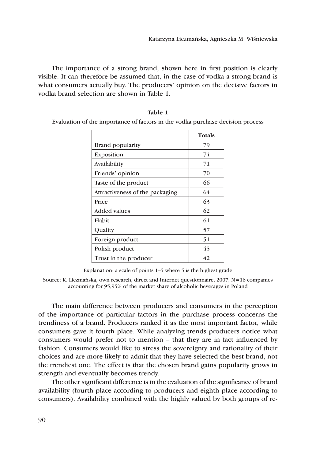The importance of a strong brand, shown here in first position is clearly visible. It can therefore be assumed that, in the case of vodka a strong brand is what consumers actually buy. The producers' opinion on the decisive factors in vodka brand selection are shown in Table 1.

|                                 | <b>Totals</b> |
|---------------------------------|---------------|
| Brand popularity                | 79            |
| Exposition                      | 74            |
| Availability                    | 71            |
| Friends' opinion                | 70            |
| Taste of the product            | 66            |
| Attractiveness of the packaging | 64            |
| Price                           | 63            |
| Added values                    | 62            |
| Habit                           | 61            |
| Quality                         | 57            |
| Foreign product                 | 51            |
| Polish product                  | 45            |
| Trust in the producer           | 42            |

| Table 1                                                                        |  |
|--------------------------------------------------------------------------------|--|
| Evaluation of the importance of factors in the vodka purchase decision process |  |

Explanation: a scale of points 1–5 where 5 is the highest grade

Source: K. Liczmańska, own research, direct and Internet questionnaire, 2007, N=16 companies accounting for 95,95% of the market share of alcoholic beverages in Poland

The main difference between producers and consumers in the perception of the importance of particular factors in the purchase process concerns the trendiness of a brand. Producers ranked it as the most important factor, while consumers gave it fourth place. While analyzing trends producers notice what consumers would prefer not to mention – that they are in fact influenced by fashion. Consumers would like to stress the sovereignty and rationality of their choices and are more likely to admit that they have selected the best brand, not the trendiest one. The effect is that the chosen brand gains popularity grows in strength and eventually becomes trendy.

The other significant difference is in the evaluation of the significance of brand availability (fourth place according to producers and eighth place according to consumers). Availability combined with the highly valued by both groups of re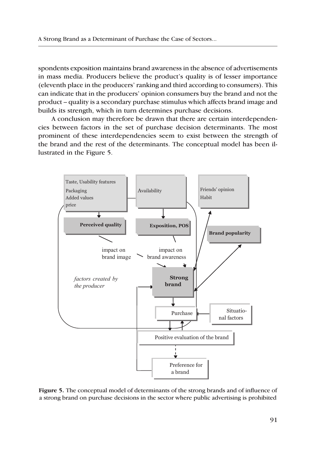spondents exposition maintains brand awareness in the absence of advertisements in mass media. Producers believe the product's quality is of lesser importance (eleventh place in the producers' ranking and third according to consumers). This can indicate that in the producers' opinion consumers buy the brand and not the product – quality is a secondary purchase stimulus which affects brand image and builds its strength, which in turn determines purchase decisions.

A conclusion may therefore be drawn that there are certain interdependencies between factors in the set of purchase decision determinants. The most prominent of these interdependencies seem to exist between the strength of the brand and the rest of the determinants. The conceptual model has been illustrated in the Figure 5.



**Figure 5.** The conceptual model of determinants of the strong brands and of influence of a strong brand on purchase decisions in the sector where public advertising is prohibited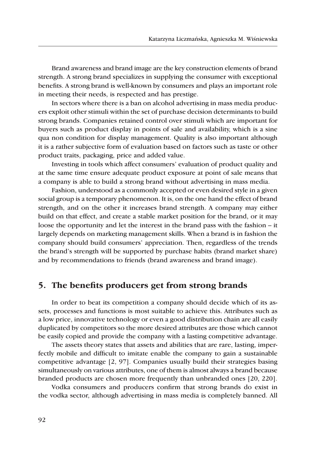Brand awareness and brand image are the key construction elements of brand strength. A strong brand specializes in supplying the consumer with exceptional benefits. A strong brand is well-known by consumers and plays an important role in meeting their needs, is respected and has prestige.

In sectors where there is a ban on alcohol advertising in mass media producers exploit other stimuli within the set of purchase decision determinants to build strong brands. Companies retained control over stimuli which are important for buyers such as product display in points of sale and availability, which is a sine qua non condition for display management. Quality is also important although it is a rather subjective form of evaluation based on factors such as taste or other product traits, packaging, price and added value.

Investing in tools which affect consumers' evaluation of product quality and at the same time ensure adequate product exposure at point of sale means that a company is able to build a strong brand without advertising in mass media.

Fashion, understood as a commonly accepted or even desired style in a given social group is a temporary phenomenon. It is, on the one hand the effect of brand strength, and on the other it increases brand strength. A company may either build on that effect, and create a stable market position for the brand, or it may loose the opportunity and let the interest in the brand pass with the fashion – it largely depends on marketing management skills. When a brand is in fashion the company should build consumers' appreciation. Then, regardless of the trends the brand's strength will be supported by purchase habits (brand market share) and by recommendations to friends (brand awareness and brand image).

#### **5. The benefits producers get from strong brands**

In order to beat its competition a company should decide which of its assets, processes and functions is most suitable to achieve this. Attributes such as a low price, innovative technology or even a good distribution chain are all easily duplicated by competitors so the more desired attributes are those which cannot be easily copied and provide the company with a lasting competitive advantage.

The assets theory states that assets and abilities that are rare, lasting, imperfectly mobile and difficult to imitate enable the company to gain a sustainable competitive advantage [2, 97]. Companies usually build their strategies basing simultaneously on various attributes, one of them is almost always a brand because branded products are chosen more frequently than unbranded ones [20, 220].

Vodka consumers and producers confirm that strong brands do exist in the vodka sector, although advertising in mass media is completely banned. All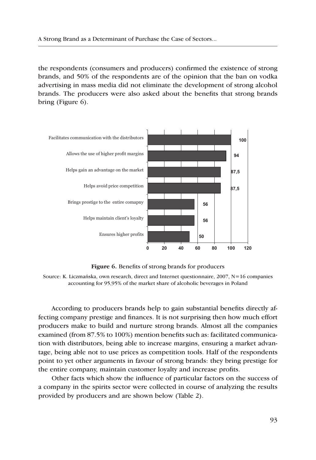the respondents (consumers and producers) confirmed the existence of strong brands, and 50% of the respondents are of the opinion that the ban on vodka advertising in mass media did not eliminate the development of strong alcohol brands. The producers were also asked about the benefits that strong brands bring (Figure 6).



**Figure 6.** Benefits of strong brands for producers

Source: K. Liczmańska, own research, direct and Internet questionnaire, 2007, N=16 companies accounting for 95,95% of the market share of alcoholic beverages in Poland

According to producers brands help to gain substantial benefits directly affecting company prestige and finances. It is not surprising then how much effort producers make to build and nurture strong brands. Almost all the companies examined (from 87.5% to 100%) mention benefits such as: facilitated communication with distributors, being able to increase margins, ensuring a market advantage, being able not to use prices as competition tools. Half of the respondents point to yet other arguments in favour of strong brands: they bring prestige for the entire company, maintain customer loyalty and increase profits.

Other facts which show the influence of particular factors on the success of a company in the spirits sector were collected in course of analyzing the results provided by producers and are shown below (Table 2).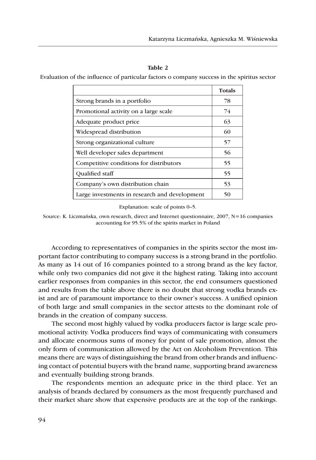#### **Table 2**

Evaluation of the influence of particular factors o company success in the spiritus sector

|                                               | <b>Totals</b> |
|-----------------------------------------------|---------------|
| Strong brands in a portfolio                  | 78            |
| Promotional activity on a large scale         | 74            |
| Adequate product price                        | 63            |
| Widespread distribution                       | 60            |
| Strong organizational culture                 | 57            |
| Well developer sales department               | 56            |
| Competitive conditions for distributors       | 55            |
| <b>Oualified staff</b>                        | 55            |
| Company's own distribution chain              | 53            |
| Large investments in research and development | 50            |

Explanation: scale of points 0–5.

Source: K. Liczmańska, own research, direct and Internet questionnaire, 2007, N=16 companies accounting for 95.5% of the spirits market in Poland

According to representatives of companies in the spirits sector the most important factor contributing to company success is a strong brand in the portfolio. As many as 14 out of 16 companies pointed to a strong brand as the key factor, while only two companies did not give it the highest rating. Taking into account earlier responses from companies in this sector, the end consumers questioned and results from the table above there is no doubt that strong vodka brands exist and are of paramount importance to their owner's success. A unified opinion of both large and small companies in the sector attests to the dominant role of brands in the creation of company success.

The second most highly valued by vodka producers factor is large scale promotional activity. Vodka producers find ways of communicating with consumers and allocate enormous sums of money for point of sale promotion, almost the only form of communication allowed by the Act on Alcoholism Prevention. This means there are ways of distinguishing the brand from other brands and influencing contact of potential buyers with the brand name, supporting brand awareness and eventually building strong brands.

The respondents mention an adequate price in the third place. Yet an analysis of brands declared by consumers as the most frequently purchased and their market share show that expensive products are at the top of the rankings.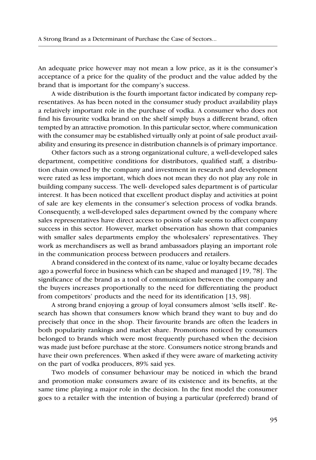An adequate price however may not mean a low price, as it is the consumer's acceptance of a price for the quality of the product and the value added by the brand that is important for the company's success.

A wide distribution is the fourth important factor indicated by company representatives. As has been noted in the consumer study product availability plays a relatively important role in the purchase of vodka. A consumer who does not find his favourite vodka brand on the shelf simply buys a different brand, often tempted by an attractive promotion. In this particular sector, where communication with the consumer may be established virtually only at point of sale product availability and ensuring its presence in distribution channels is of primary importance.

Other factors such as a strong organizational culture, a well-developed sales department, competitive conditions for distributors, qualified staff, a distribution chain owned by the company and investment in research and development were rated as less important, which does not mean they do not play any role in building company success. The well- developed sales department is of particular interest. It has been noticed that excellent product display and activities at point of sale are key elements in the consumer's selection process of vodka brands. Consequently, a well-developed sales department owned by the company where sales representatives have direct access to points of sale seems to affect company success in this sector. However, market observation has shown that companies with smaller sales departments employ the wholesalers' representatives. They work as merchandisers as well as brand ambassadors playing an important role in the communication process between producers and retailers.

A brand considered in the context of its name, value or loyalty became decades ago a powerful force in business which can be shaped and managed [19, 78]. The significance of the brand as a tool of communication between the company and the buyers increases proportionally to the need for differentiating the product from competitors' products and the need for its identification [13, 98].

A strong brand enjoying a group of loyal consumers almost 'sells itself'. Research has shown that consumers know which brand they want to buy and do precisely that once in the shop. Their favourite brands are often the leaders in both popularity rankings and market share. Promotions noticed by consumers belonged to brands which were most frequently purchased when the decision was made just before purchase at the store. Consumers notice strong brands and have their own preferences. When asked if they were aware of marketing activity on the part of vodka producers, 89% said yes.

Two models of consumer behaviour may be noticed in which the brand and promotion make consumers aware of its existence and its benefits, at the same time playing a major role in the decision. In the first model the consumer goes to a retailer with the intention of buying a particular (preferred) brand of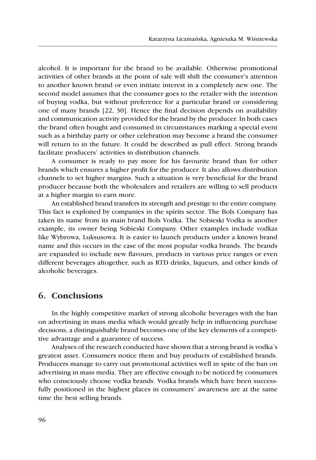alcohol. It is important for the brand to be available. Otherwise promotional activities of other brands at the point of sale will shift the consumer's attention to another known brand or even initiate interest in a completely new one. The second model assumes that the consumer goes to the retailer with the intention of buying vodka, but without preference for a particular brand or considering one of many brands [22, 30]. Hence the final decision depends on availability and communication activity provided for the brand by the producer. In both cases the brand often bought and consumed in circumstances marking a special event such as a birthday party or other celebration may become a brand the consumer will return to in the future. It could be described as pull effect. Strong brands facilitate producers' activities in distribution channels.

A consumer is ready to pay more for his favourite brand than for other brands which ensures a higher profit for the producer. It also allows distribution channels to set higher margins. Such a situation is very beneficial for the brand producer because both the wholesalers and retailers are willing to sell products at a higher margin to earn more.

An established brand transfers its strength and prestige to the entire company. This fact is exploited by companies in the spirits sector. The Bols Company has taken its name from its main brand Bols Vodka. The Sobieski Vodka is another example, its owner being Sobieski Company. Other examples include vodkas like Wybrowa, Luksusowa. It is easier to launch products under a known brand name and this occurs in the case of the most popular vodka brands. The brands are expanded to include new flavours, products in various price ranges or even different beverages altogether, such as RTD drinks, liqueurs, and other kinds of alcoholic beverages.

#### **6. Conclusions**

In the highly competitive market of strong alcoholic beverages with the ban on advertising in mass media which would greatly help in influencing purchase decisions, a distinguishable brand becomes one of the key elements of a competitive advantage and a guarantee of success.

Analyses of the research conducted have shown that a strong brand is vodka's greatest asset. Consumers notice them and buy products of established brands. Producers manage to carry out promotional activities well in spite of the ban on advertising in mass media. They are effective enough to be noticed by consumers who consciously choose vodka brands. Vodka brands which have been successfully positioned in the highest places in consumers' awareness are at the same time the best selling brands.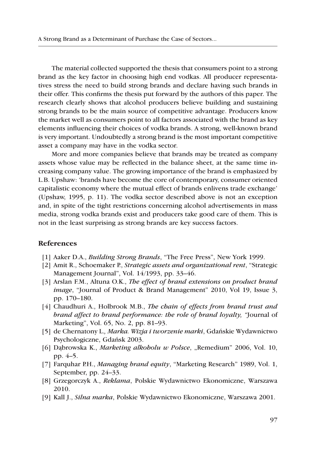The material collected supported the thesis that consumers point to a strong brand as the key factor in choosing high end vodkas. All producer representatives stress the need to build strong brands and declare having such brands in their offer. This confirms the thesis put forward by the authors of this paper. The research clearly shows that alcohol producers believe building and sustaining strong brands to be the main source of competitive advantage. Producers know the market well as consumers point to all factors associated with the brand as key elements influencing their choices of vodka brands. A strong, well-known brand is very important. Undoubtedly a strong brand is the most important competitive asset a company may have in the vodka sector.

More and more companies believe that brands may be treated as company assets whose value may be reflected in the balance sheet, at the same time increasing company value. The growing importance of the brand is emphasized by L.B. Upshaw: 'brands have become the core of contemporary, consumer oriented capitalistic economy where the mutual effect of brands enlivens trade exchange' (Upshaw, 1995, p. 11). The vodka sector described above is not an exception and, in spite of the tight restrictions concerning alcohol advertisements in mass media, strong vodka brands exist and producers take good care of them. This is not in the least surprising as strong brands are key success factors.

#### **References**

- [1] Aaker D.A., *Building Strong Brands*, "The Free Press", New York 1999.
- [2] Amit R., Schoemaker P., *Strategic assets and organizational rent*, "Strategic Management Journal", Vol. 14/1993, pp. 33–46.
- [3] Arslan F.M., Altuna O.K., *The effect of brand extensions on product brand image*, "Journal of Product & Brand Management" 2010, Vol 19, Issue 3, pp. 170–180.
- [4] Chaudhuri A., Holbrook M.B., *The chain of effects from brand trust and brand affect to brand performance: the role of brand loyalty, "*Journal of Marketing", Vol. 65, No. 2, pp. 81–93.
- [5] de Chernatony L.*, Marka. Wizja i tworzenie marki*, Gdańskie Wydawnictwo Psychologiczne, Gdańsk 2003.
- [6] Dąbrowska K., *Marketing alkoholu w Polsce*, "Remedium" 2006, Vol. 10, pp. 4–5.
- [7] Farquhar P.H., *Managing brand equity*, "Marketing Research" 1989, Vol. 1, September, pp. 24–33.
- [8] Grzegorczyk A., *Reklama*, Polskie Wydawnictwo Ekonomiczne, Warszawa 2010.
- [9] Kall J., *Silna marka*, Polskie Wydawnictwo Ekonomiczne, Warszawa 2001.